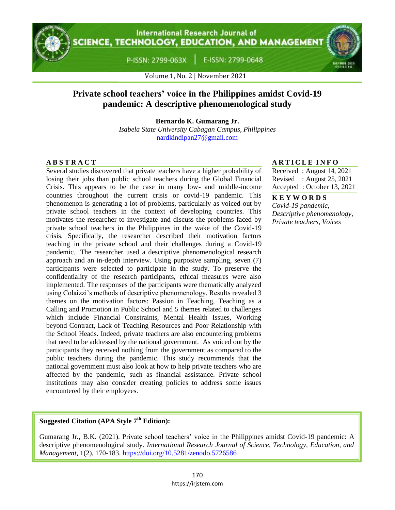**International Research Journal of** CIENCE, TECHNOLOGY, EDUCATION, AND MANAGEMENT

P-ISSN: 2799-063X |

E-ISSN: 2799-0648

Volume 1, No. 2 | November 2021

# **Private school teachers' voice in the Philippines amidst Covid-19 pandemic: A descriptive phenomenological study**

**Bernardo K. Gumarang Jr.**

*Isabela State University Cabagan Campus, Philippines* [nardkindipan27@gmail.com](mailto:nardkindipan27@gmail.com)

Several studies discovered that private teachers have a higher probability of losing their jobs than public school teachers during the Global Financial Crisis. This appears to be the case in many low- and middle-income countries throughout the current crisis or covid-19 pandemic. This phenomenon is generating a lot of problems, particularly as voiced out by private school teachers in the context of developing countries. This motivates the researcher to investigate and discuss the problems faced by private school teachers in the Philippines in the wake of the Covid-19 crisis. Specifically, the researcher described their motivation factors teaching in the private school and their challenges during a Covid-19 pandemic. The researcher used a descriptive phenomenological research approach and an in-depth interview. Using purposive sampling, seven (7) participants were selected to participate in the study. To preserve the confidentiality of the research participants, ethical measures were also implemented. The responses of the participants were thematically analyzed using Colaizzi's methods of descriptive phenomenology. Results revealed 3 themes on the motivation factors: Passion in Teaching, Teaching as a Calling and Promotion in Public School and 5 themes related to challenges which include Financial Constraints, Mental Health Issues, Working beyond Contract, Lack of Teaching Resources and Poor Relationship with the School Heads. Indeed, private teachers are also encountering problems that need to be addressed by the national government. As voiced out by the participants they received nothing from the government as compared to the public teachers during the pandemic. This study recommends that the national government must also look at how to help private teachers who are affected by the pandemic, such as financial assistance. Private school institutions may also consider creating policies to address some issues encountered by their employees.

## **A B S T R A C T A R T I C L E I N F O**

Received : August 14, 2021 Revised : August 25, 2021 Accepted : October 13, 2021

**K E Y W O R D S** *Covid-19 pandemic, Descriptive phenomenology, Private teachers, Voices*

## **Suggested Citation (APA Style 7th Edition):**

Gumarang Jr., B.K. (2021). Private school teachers' voice in the Philippines amidst Covid-19 pandemic: A descriptive phenomenological study. *International Research Journal of Science, Technology, Education, and Management*, 1(2), 170-183. https://doi.org/10.5281/zenodo.5726586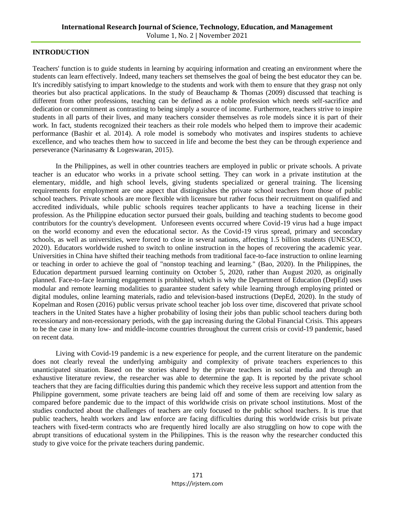## **INTRODUCTION**

Teachers' function is to guide students in learning by acquiring information and creating an environment where the students can learn effectively. Indeed, many teachers set themselves the goal of being the best educator they can be. It's incredibly satisfying to impart knowledge to the students and work with them to ensure that they grasp not only theories but also practical applications. In the study of Beauchamp & Thomas (2009) discussed that teaching is different from other professions, teaching can be defined as a noble profession which needs self-sacrifice and dedication or commitment as contrasting to being simply a source of income. Furthermore, teachers strive to inspire students in all parts of their lives, and many teachers consider themselves as role models since it is part of their work. In fact, students recognized their teachers as their role models who helped them to improve their academic performance (Bashir et al. 2014). A role model is somebody who motivates and inspires students to achieve excellence, and who teaches them how to succeed in life and become the best they can be through experience and perseverance (Narinasamy & Logeswaran, 2015).

In the Philippines, as well in other countries teachers are employed in public or private schools. A private teacher is an educator who works in a private school setting. They can work in a private institution at the elementary, middle, and high school levels, giving students specialized or general training. The licensing requirements for employment are one aspect that distinguishes the private school teachers from those of public school teachers. Private schools are more flexible with licensure but rather focus their recruitment on qualified and accredited individuals, while public schools requires teacher applicants to have a teaching license in their profession. As the Philippine education sector pursued their goals, building and teaching students to become good contributors for the country's development. Unforeseen events occurred where Covid-19 virus had a huge impact on the world economy and even the educational sector. As the Covid-19 virus spread, primary and secondary schools, as well as universities, were forced to close in several nations, affecting 1.5 billion students (UNESCO, 2020). Educators worldwide rushed to switch to online instruction in the hopes of recovering the academic year. Universities in China have shifted their teaching methods from traditional face-to-face instruction to online learning or teaching in order to achieve the goal of "nonstop teaching and learning." (Bao, 2020). In the Philippines, the Education department pursued learning continuity on October 5, 2020, rather than August 2020, as originally planned. Face-to-face learning engagement is prohibited, which is why the Department of Education (DepEd) uses modular and remote learning modalities to guarantee student safety while learning through employing printed or digital modules, online learning materials, radio and television-based instructions (DepEd, 2020). In the study of Kopelman and Rosen (2016) public versus private school teacher job loss over time, discovered that private school teachers in the United States have a higher probability of losing their jobs than public school teachers during both recessionary and non-recessionary periods, with the gap increasing during the Global Financial Crisis. This appears to be the case in many low- and middle-income countries throughout the current crisis or covid-19 pandemic, based on recent data.

Living with Covid-19 pandemic is a new experience for people, and the current literature on the pandemic does not clearly reveal the underlying ambiguity and complexity of private teachers experiences to this unanticipated situation. Based on the stories shared by the private teachers in social media and through an exhaustive literature review, the researcher was able to determine the gap. It is reported by the private school teachers that they are facing difficulties during this pandemic which they receive less support and attention from the Philippine government, some private teachers are being laid off and some of them are receiving low salary as compared before pandemic due to the impact of this worldwide crisis on private school institutions. Most of the studies conducted about the challenges of teachers are only focused to the public school teachers. It is true that public teachers, health workers and law enforce are facing difficulties during this worldwide crisis but private teachers with fixed-term contracts who are frequently hired locally are also struggling on how to cope with the abrupt transitions of educational system in the Philippines. This is the reason why the researcher conducted this study to give voice for the private teachers during pandemic.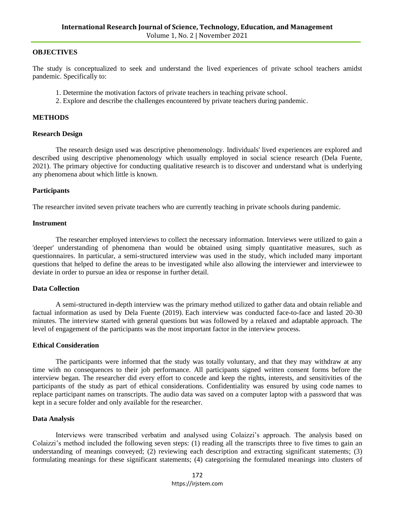## **OBJECTIVES**

The study is conceptualized to seek and understand the lived experiences of private school teachers amidst pandemic. Specifically to:

- 1. Determine the motivation factors of private teachers in teaching private school.
- 2. Explore and describe the challenges encountered by private teachers during pandemic.

## **METHODS**

#### **Research Design**

The research design used was descriptive phenomenology. Individuals' lived experiences are explored and described using descriptive phenomenology which usually employed in social science research (Dela Fuente, 2021). The primary objective for conducting qualitative research is to discover and understand what is underlying any phenomena about which little is known.

## **Participants**

The researcher invited seven private teachers who are currently teaching in private schools during pandemic.

## **Instrument**

The researcher employed interviews to collect the necessary information. Interviews were utilized to gain a 'deeper' understanding of phenomena than would be obtained using simply quantitative measures, such as questionnaires. In particular, a semi-structured interview was used in the study, which included many important questions that helped to define the areas to be investigated while also allowing the interviewer and interviewee to deviate in order to pursue an idea or response in further detail.

## **Data Collection**

A semi-structured in-depth interview was the primary method utilized to gather data and obtain reliable and factual information as used by Dela Fuente (2019). Each interview was conducted face-to-face and lasted 20-30 minutes. The interview started with general questions but was followed by a relaxed and adaptable approach. The level of engagement of the participants was the most important factor in the interview process.

#### **Ethical Consideration**

The participants were informed that the study was totally voluntary, and that they may withdraw at any time with no consequences to their job performance. All participants signed written consent forms before the interview began. The researcher did every effort to concede and keep the rights, interests, and sensitivities of the participants of the study as part of ethical considerations. Confidentiality was ensured by using code names to replace participant names on transcripts. The audio data was saved on a computer laptop with a password that was kept in a secure folder and only available for the researcher.

## **Data Analysis**

Interviews were transcribed verbatim and analysed using Colaizzi's approach. The analysis based on Colaizzi's method included the following seven steps: (1) reading all the transcripts three to five times to gain an understanding of meanings conveyed; (2) reviewing each description and extracting significant statements; (3) formulating meanings for these significant statements; (4) categorising the formulated meanings into clusters of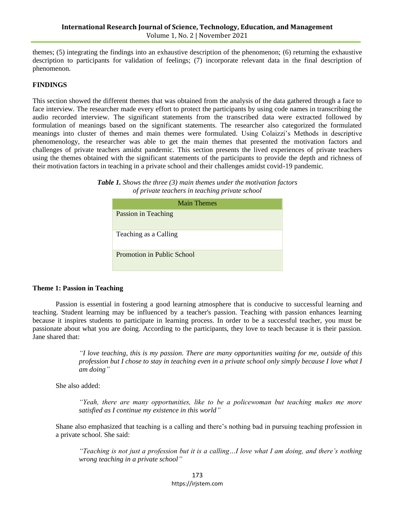themes; (5) integrating the findings into an exhaustive description of the phenomenon; (6) returning the exhaustive description to participants for validation of feelings; (7) incorporate relevant data in the final description of phenomenon.

## **FINDINGS**

This section showed the different themes that was obtained from the analysis of the data gathered through a face to face interview. The researcher made every effort to protect the participants by using code names in transcribing the audio recorded interview. The significant statements from the transcribed data were extracted followed by formulation of meanings based on the significant statements. The researcher also categorized the formulated meanings into cluster of themes and main themes were formulated. Using Colaizzi's Methods in descriptive phenomenology, the researcher was able to get the main themes that presented the motivation factors and challenges of private teachers amidst pandemic. This section presents the lived experiences of private teachers using the themes obtained with the significant statements of the participants to provide the depth and richness of their motivation factors in teaching in a private school and their challenges amidst covid-19 pandemic.

*Table 1. Shows the three (3) main themes under the motivation factors of private teachers in teaching private school*

| <b>Main Themes</b>         |
|----------------------------|
| Passion in Teaching        |
| Teaching as a Calling      |
| Promotion in Public School |

## **Theme 1: Passion in Teaching**

Passion is essential in fostering a good learning atmosphere that is conducive to successful learning and teaching. Student learning may be influenced by a teacher's passion. Teaching with passion enhances learning because it inspires students to participate in learning process. In order to be a successful teacher, you must be passionate about what you are doing. According to the participants, they love to teach because it is their passion. Jane shared that:

> *"I love teaching, this is my passion. There are many opportunities waiting for me, outside of this profession but I chose to stay in teaching even in a private school only simply because I love what I am doing"*

She also added:

*"Yeah, there are many opportunities, like to be a policewoman but teaching makes me more satisfied as I continue my existence in this world"*

Shane also emphasized that teaching is a calling and there's nothing bad in pursuing teaching profession in a private school. She said:

*"Teaching is not just a profession but it is a calling…I love what I am doing, and there's nothing wrong teaching in a private school"*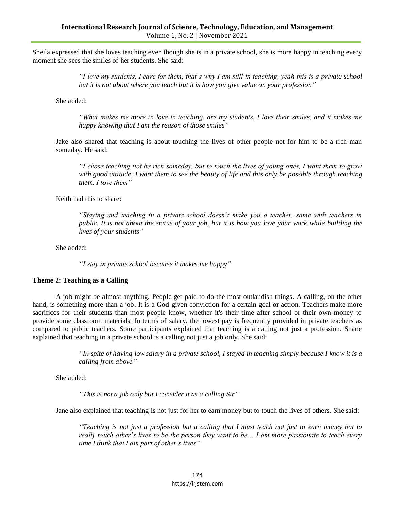Sheila expressed that she loves teaching even though she is in a private school, she is more happy in teaching every moment she sees the smiles of her students. She said:

> *"I love my students, I care for them, that's why I am still in teaching, yeah this is a private school but it is not about where you teach but it is how you give value on your profession"*

She added:

*"What makes me more in love in teaching, are my students, I love their smiles, and it makes me happy knowing that I am the reason of those smiles"*

Jake also shared that teaching is about touching the lives of other people not for him to be a rich man someday. He said:

*"I chose teaching not be rich someday, but to touch the lives of young ones, I want them to grow with good attitude, I want them to see the beauty of life and this only be possible through teaching them. I love them"*

Keith had this to share:

*"Staying and teaching in a private school doesn't make you a teacher, same with teachers in public. It is not about the status of your job, but it is how you love your work while building the lives of your students"*

She added:

*"I stay in private school because it makes me happy"*

#### **Theme 2: Teaching as a Calling**

A job might be almost anything. People get paid to do the most outlandish things. A calling, on the other hand, is something more than a job. It is a God-given conviction for a certain goal or action. Teachers make more sacrifices for their students than most people know, whether it's their time after school or their own money to provide some classroom materials. In terms of salary, the lowest pay is frequently provided in private teachers as compared to public teachers. Some participants explained that teaching is a calling not just a profession. Shane explained that teaching in a private school is a calling not just a job only. She said:

> *"In spite of having low salary in a private school, I stayed in teaching simply because I know it is a calling from above"*

She added:

*"This is not a job only but I consider it as a calling Sir"*

Jane also explained that teaching is not just for her to earn money but to touch the lives of others. She said:

*"Teaching is not just a profession but a calling that I must teach not just to earn money but to really touch other's lives to be the person they want to be… I am more passionate to teach every time I think that I am part of other's lives"*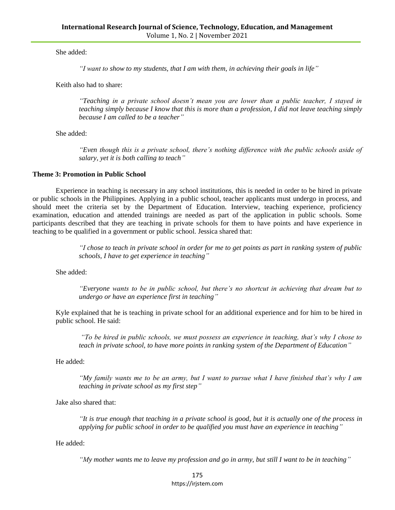She added:

*"I want to show to my students, that I am with them, in achieving their goals in life"*

Keith also had to share:

*"Teaching in a private school doesn't mean you are lower than a public teacher, I stayed in teaching simply because I know that this is more than a profession, I did not leave teaching simply because I am called to be a teacher"*

She added:

*"Even though this is a private school, there's nothing difference with the public schools aside of salary, yet it is both calling to teach"*

#### **Theme 3: Promotion in Public School**

Experience in teaching is necessary in any school institutions, this is needed in order to be hired in private or public schools in the Philippines. Applying in a public school, teacher applicants must undergo in process, and should meet the criteria set by the Department of Education. Interview, teaching experience, proficiency examination, education and attended trainings are needed as part of the application in public schools. Some participants described that they are teaching in private schools for them to have points and have experience in teaching to be qualified in a government or public school. Jessica shared that:

> *"I chose to teach in private school in order for me to get points as part in ranking system of public schools, I have to get experience in teaching"*

She added:

*"Everyone wants to be in public school, but there's no shortcut in achieving that dream but to undergo or have an experience first in teaching"*

Kyle explained that he is teaching in private school for an additional experience and for him to be hired in public school. He said:

*"To be hired in public schools, we must possess an experience in teaching, that's why I chose to teach in private school, to have more points in ranking system of the Department of Education"*

He added:

*"My family wants me to be an army, but I want to pursue what I have finished that's why I am teaching in private school as my first step"*

Jake also shared that:

*"It is true enough that teaching in a private school is good, but it is actually one of the process in applying for public school in order to be qualified you must have an experience in teaching"*

He added:

*"My mother wants me to leave my profession and go in army, but still I want to be in teaching"*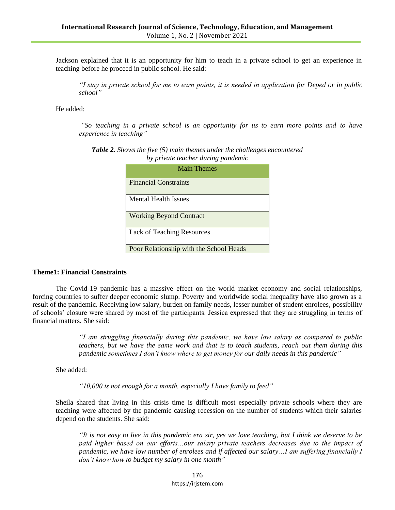Jackson explained that it is an opportunity for him to teach in a private school to get an experience in teaching before he proceed in public school. He said:

*"I stay in private school for me to earn points, it is needed in application for Deped or in public school"*

He added:

*"So teaching in a private school is an opportunity for us to earn more points and to have experience in teaching"*

*Table 2. Shows the five (5) main themes under the challenges encountered by private teacher during pandemic*

| <b>Main Themes</b>                      |
|-----------------------------------------|
| <b>Financial Constraints</b>            |
| <b>Mental Health Issues</b>             |
| <b>Working Beyond Contract</b>          |
| Lack of Teaching Resources              |
| Poor Relationship with the School Heads |

#### **Theme1: Financial Constraints**

The Covid-19 pandemic has a massive effect on the world market economy and social relationships, forcing countries to suffer deeper economic slump. Poverty and worldwide social inequality have also grown as a result of the pandemic. Receiving low salary, burden on family needs, lesser number of student enrolees, possibility of schools' closure were shared by most of the participants. Jessica expressed that they are struggling in terms of financial matters. She said:

> *"I am struggling financially during this pandemic, we have low salary as compared to public teachers, but we have the same work and that is to teach students, reach out them during this pandemic sometimes I don't know where to get money for our daily needs in this pandemic"*

She added:

*"10,000 is not enough for a month, especially I have family to feed"*

Sheila shared that living in this crisis time is difficult most especially private schools where they are teaching were affected by the pandemic causing recession on the number of students which their salaries depend on the students. She said:

*"It is not easy to live in this pandemic era sir, yes we love teaching, but I think we deserve to be paid higher based on our efforts…our salary private teachers decreases due to the impact of pandemic, we have low number of enrolees and if affected our salary…I am suffering financially I don't know how to budget my salary in one month"*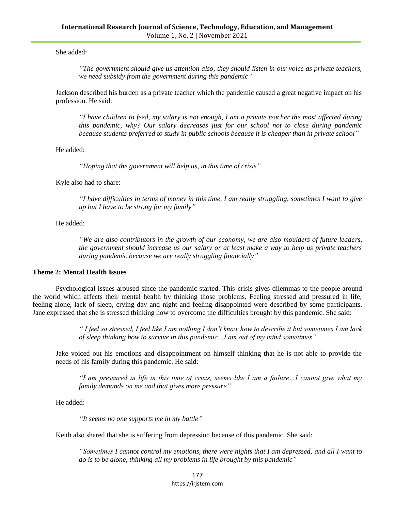She added:

*"The government should give us attention also, they should listen in our voice as private teachers, we need subsidy from the government during this pandemic"*

Jackson described his burden as a private teacher which the pandemic caused a great negative impact on his profession. He said:

*"I have children to feed, my salary is not enough, I am a private teacher the most affected during this pandemic, why? Our salary decreases just for our school not to close during pandemic because students preferred to study in public schools because it is cheaper than in private school"* 

He added:

*"Hoping that the government will help us, in this time of crisis"*

Kyle also had to share:

*"I have difficulties in terms of money in this time, I am really struggling, sometimes I want to give up but I have to be strong for my family"*

He added:

*"We are also contributors in the growth of our economy, we are also moulders of future leaders, the government should increase us our salary or at least make a way to help us private teachers during pandemic because we are really struggling financially"*

#### **Theme 2: Mental Health Issues**

Psychological issues aroused since the pandemic started. This crisis gives dilemmas to the people around the world which affects their mental health by thinking those problems. Feeling stressed and pressured in life, feeling alone, lack of sleep, crying day and night and feeling disappointed were described by some participants. Jane expressed that she is stressed thinking how to overcome the difficulties brought by this pandemic. She said:

> *" I feel so stressed, I feel like I am nothing I don't know how to describe it but sometimes I am lack of sleep thinking how to survive in this pandemic…I am out of my mind sometimes"*

Jake voiced out his emotions and disappointment on himself thinking that he is not able to provide the needs of his family during this pandemic. He said:

*"I am pressured in life in this time of crisis, seems like I am a failure…I cannot give what my family demands on me and that gives more pressure"*

He added:

*"It seems no one supports me in my battle"*

Keith also shared that she is suffering from depression because of this pandemic. She said:

*"Sometimes I cannot control my emotions, there were nights that I am depressed, and all I want to do is to be alone, thinking all my problems in life brought by this pandemic"*

> 177 https://irjstem.com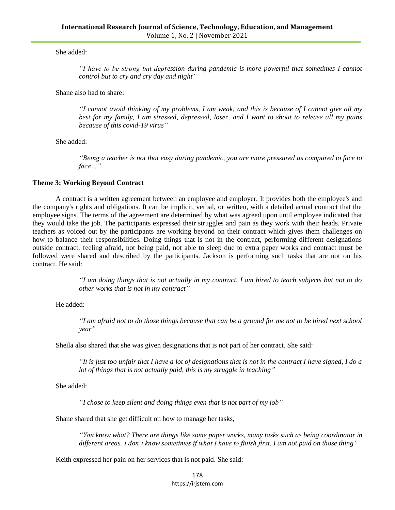She added:

*"I have to be strong but depression during pandemic is more powerful that sometimes I cannot control but to cry and cry day and night"*

Shane also had to share:

*"I cannot avoid thinking of my problems, I am weak, and this is because of I cannot give all my best for my family, I am stressed, depressed, loser, and I want to shout to release all my pains because of this covid-19 virus"*

She added:

*"Being a teacher is not that easy during pandemic, you are more pressured as compared to face to face…"*

## **Theme 3: Working Beyond Contract**

A contract is a written agreement between an employee and employer. It provides both the employee's and the company's rights and obligations. It can be implicit, verbal, or written, with a detailed actual contract that the employee signs. The terms of the agreement are determined by what was agreed upon until employee indicated that they would take the job. The participants expressed their struggles and pain as they work with their heads. Private teachers as voiced out by the participants are working beyond on their contract which gives them challenges on how to balance their responsibilities. Doing things that is not in the contract, performing different designations outside contract, feeling afraid, not being paid, not able to sleep due to extra paper works and contract must be followed were shared and described by the participants. Jackson is performing such tasks that are not on his contract. He said:

> *"I am doing things that is not actually in my contract, I am hired to teach subjects but not to do other works that is not in my contract"*

He added:

*"I am afraid not to do those things because that can be a ground for me not to be hired next school year"*

Sheila also shared that she was given designations that is not part of her contract. She said:

*"It is just too unfair that I have a lot of designations that is not in the contract I have signed, I do a lot of things that is not actually paid, this is my struggle in teaching"*

She added:

*"I chose to keep silent and doing things even that is not part of my job"*

Shane shared that she get difficult on how to manage her tasks,

*"You know what? There are things like some paper works, many tasks such as being coordinator in different areas. I don't know sometimes if what I have to finish first. I am not paid on those thing"*

Keith expressed her pain on her services that is not paid. She said:

178 https://irjstem.com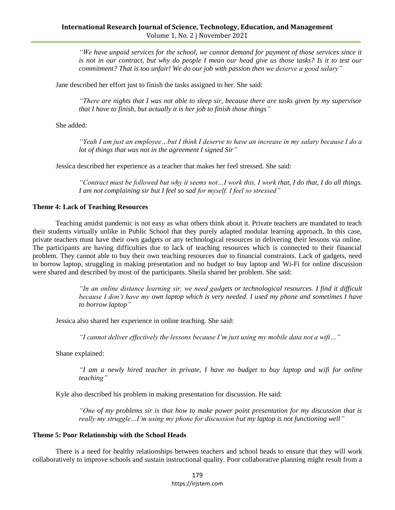*"We have unpaid services for the school, we cannot demand for payment of those services since it*  is not in our contract, but why do people I mean our head give us those tasks? Is it to test our *commitment? That is too unfair! We do our job with passion then we deserve a good salary"*

Jane described her effort just to finish the tasks assigned to her. She said:

*"There are nights that I was not able to sleep sir, because there are tasks given by my supervisor that I have to finish, but actually it is her job to finish those things"*

She added:

*"Yeah I am just an employee…but I think I deserve to have an increase in my salary because I do a lot of things that was not in the agreement I signed Sir"*

Jessica described her experience as a teacher that makes her feel stressed. She said:

*"Contract must be followed but why it seems not…I work this, I work that, I do that, I do all things. I am not complaining sir but I feel so sad for myself. I feel so stressed"*

## **Theme 4: Lack of Teaching Resources**

Teaching amidst pandemic is not easy as what others think about it. Private teachers are mandated to teach their students virtually unlike in Public School that they purely adapted modular learning approach. In this case, private teachers must have their own gadgets or any technological resources in delivering their lessons via online. The participants are having difficulties due to lack of teaching resources which is connected to their financial problem. They cannot able to buy their own teaching resources due to financial constraints. Lack of gadgets, need to borrow laptop, struggling in making presentation and no budget to buy laptop and Wi-Fi for online discussion were shared and described by most of the participants. Sheila shared her problem. She said:

> *"In an online distance learning sir, we need gadgets or technological resources. I find it difficult because I don't have my own laptop which is very needed. I used my phone and sometimes I have to borrow laptop"*

Jessica also shared her experience in online teaching. She said:

*"I cannot deliver effectively the lessons because I'm just using my mobile data not a wifi…"*

Shane explained:

*"I am a newly hired teacher in private, I have no budget to buy laptop and wifi for online teaching"*

Kyle also described his problem in making presentation for discussion. He said:

*"One of my problems sir is that how to make power point presentation for my discussion that is really my struggle…I'm using my phone for discussion but my laptop is not functioning well"*

## **Theme 5: Poor Relationship with the School Heads**

There is a need for healthy relationships between teachers and school heads to ensure that they will work collaboratively to improve schools and sustain instructional quality. Poor collaborative planning might result from a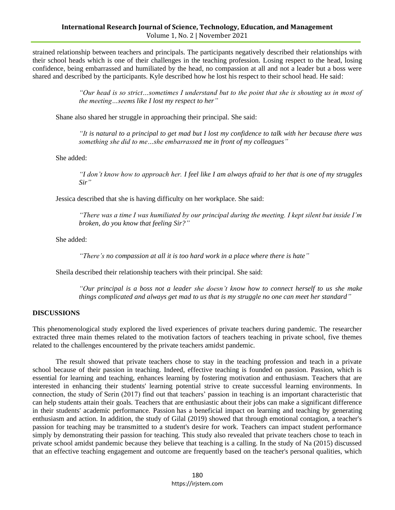strained relationship between teachers and principals. The participants negatively described their relationships with their school heads which is one of their challenges in the teaching profession. Losing respect to the head, losing confidence, being embarrassed and humiliated by the head, no compassion at all and not a leader but a boss were shared and described by the participants. Kyle described how he lost his respect to their school head. He said:

> *"Our head is so strict…sometimes I understand but to the point that she is shouting us in most of the meeting…seems like I lost my respect to her"*

Shane also shared her struggle in approaching their principal. She said:

*"It is natural to a principal to get mad but I lost my confidence to talk with her because there was something she did to me…she embarrassed me in front of my colleagues"*

She added:

*"I don't know how to approach her. I feel like I am always afraid to her that is one of my struggles Sir"*

Jessica described that she is having difficulty on her workplace. She said:

*"There was a time I was humiliated by our principal during the meeting. I kept silent but inside I'm broken, do you know that feeling Sir?"*

She added:

*"There's no compassion at all it is too hard work in a place where there is hate"*

Sheila described their relationship teachers with their principal. She said:

*"Our principal is a boss not a leader she doesn't know how to connect herself to us she make things complicated and always get mad to us that is my struggle no one can meet her standard"*

## **DISCUSSIONS**

This phenomenological study explored the lived experiences of private teachers during pandemic. The researcher extracted three main themes related to the motivation factors of teachers teaching in private school, five themes related to the challenges encountered by the private teachers amidst pandemic.

The result showed that private teachers chose to stay in the teaching profession and teach in a private school because of their passion in teaching. Indeed, effective teaching is founded on passion. Passion, which is essential for learning and teaching, enhances learning by fostering motivation and enthusiasm. Teachers that are interested in enhancing their students' learning potential strive to create successful learning environments. In connection, the study of Serin (2017) find out that teachers' passion in teaching is an important characteristic that can help students attain their goals. Teachers that are enthusiastic about their jobs can make a significant difference in their students' academic performance. Passion has a beneficial impact on learning and teaching by generating enthusiasm and action. In addition, the study of Gilal (2019) showed that through emotional contagion, a teacher's passion for teaching may be transmitted to a student's desire for work. Teachers can impact student performance simply by demonstrating their passion for teaching. This study also revealed that private teachers chose to teach in private school amidst pandemic because they believe that teaching is a calling. In the study of Na (2015) discussed that an effective teaching engagement and outcome are frequently based on the teacher's personal qualities, which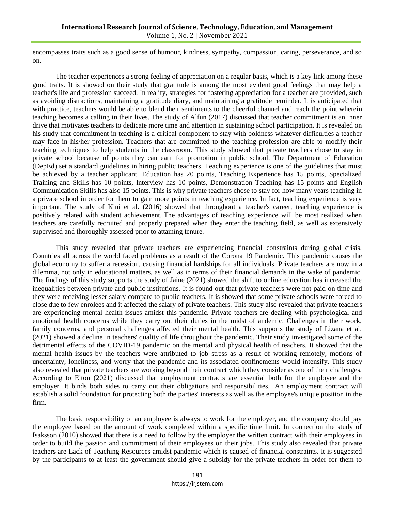encompasses traits such as a good sense of humour, kindness, sympathy, compassion, caring, perseverance, and so on.

The teacher experiences a strong feeling of appreciation on a regular basis, which is a key link among these good traits. It is showed on their study that gratitude is among the most evident good feelings that may help a teacher's life and profession succeed. In reality, strategies for fostering appreciation for a teacher are provided, such as avoiding distractions, maintaining a gratitude diary, and maintaining a gratitude reminder. It is anticipated that with practice, teachers would be able to blend their sentiments to the cheerful channel and reach the point wherein teaching becomes a calling in their lives. The study of Alfun (2017) discussed that teacher commitment is an inner drive that motivates teachers to dedicate more time and attention in sustaining school participation. It is revealed on his study that commitment in teaching is a critical component to stay with boldness whatever difficulties a teacher may face in his/her profession. Teachers that are committed to the teaching profession are able to modify their teaching techniques to help students in the classroom. This study showed that private teachers chose to stay in private school because of points they can earn for promotion in public school. The Department of Education (DepEd) set a standard guidelines in hiring public teachers. Teaching experience is one of the guidelines that must be achieved by a teacher applicant. Education has 20 points, Teaching Experience has 15 points, Specialized Training and Skills has 10 points, Interview has 10 points, Demonstration Teaching has 15 points and English Communication Skills has also 15 points. This is why private teachers chose to stay for how many years teaching in a private school in order for them to gain more points in teaching experience. In fact, teaching experience is very important. The study of Kini et al. (2016) showed that throughout a teacher's career, teaching experience is positively related with student achievement. The advantages of teaching experience will be most realized when teachers are carefully recruited and properly prepared when they enter the teaching field, as well as extensively supervised and thoroughly assessed prior to attaining tenure.

This study revealed that private teachers are experiencing financial constraints during global crisis. Countries all across the world faced problems as a result of the Corona 19 Pandemic. This pandemic causes the global economy to suffer a recession, causing financial hardships for all individuals. Private teachers are now in a dilemma, not only in educational matters, as well as in terms of their financial demands in the wake of pandemic. The findings of this study supports the study of Jaine (2021) showed the shift to online education has increased the inequalities between private and public institutions. It is found out that private teachers were not paid on time and they were receiving lesser salary compare to public teachers. It is showed that some private schools were forced to close due to few enrolees and it affected the salary of private teachers. This study also revealed that private teachers are experiencing mental health issues amidst this pandemic. Private teachers are dealing with psychological and emotional health concerns while they carry out their duties in the midst of andemic. Challenges in their work, family concerns, and personal challenges affected their mental health. This supports the study of Lizana et al. (2021) showed a decline in teachers' quality of life throughout the pandemic. Their study investigated some of the detrimental effects of the COVID-19 pandemic on the mental and physical health of teachers. It showed that the mental health issues by the teachers were attributed to job stress as a result of working remotely, motions of uncertainty, loneliness, and worry that the pandemic and its associated confinements would intensify. This study also revealed that private teachers are working beyond their contract which they consider as one of their challenges. According to Elton (2021) discussed that employment contracts are essential both for the employee and the employer. It binds both sides to carry out their obligations and responsibilities. An employment contract will establish a solid foundation for protecting both the parties' interests as well as the employee's unique position in the firm.

The basic responsibility of an employee is always to work for the employer, and the company should pay the employee based on the amount of work completed within a specific time limit. In connection the study of Isaksson (2010) showed that there is a need to follow by the employer the written contract with their employees in order to build the passion and commitment of their employees on their jobs. This study also revealed that private teachers are Lack of Teaching Resources amidst pandemic which is caused of financial constraints. It is suggested by the participants to at least the government should give a subsidy for the private teachers in order for them to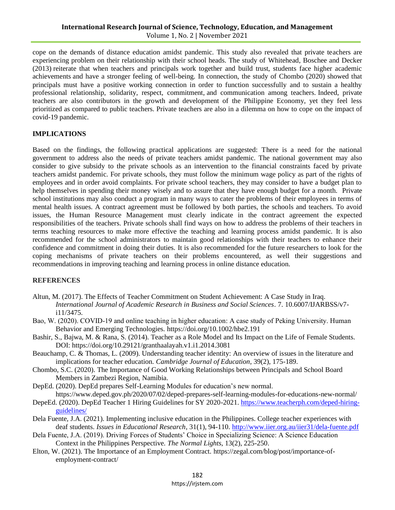cope on the demands of distance education amidst pandemic. This study also revealed that private teachers are experiencing problem on their relationship with their school heads. The study of Whitehead, Boschee and Decker (2013) reiterate that when teachers and principals work together and build trust, students face higher academic achievements and have a stronger feeling of well-being. In connection, the study of Chombo (2020) showed that principals must have a positive working connection in order to function successfully and to sustain a healthy professional relationship, solidarity, respect, commitment, and communication among teachers. Indeed, private teachers are also contributors in the growth and development of the Philippine Economy, yet they feel less prioritized as compared to public teachers. Private teachers are also in a dilemma on how to cope on the impact of covid-19 pandemic.

## **IMPLICATIONS**

Based on the findings, the following practical applications are suggested: There is a need for the national government to address also the needs of private teachers amidst pandemic. The national government may also consider to give subsidy to the private schools as an intervention to the financial constraints faced by private teachers amidst pandemic. For private schools, they must follow the minimum wage policy as part of the rights of employees and in order avoid complaints. For private school teachers, they may consider to have a budget plan to help themselves in spending their money wisely and to assure that they have enough budget for a month. Private school institutions may also conduct a program in many ways to cater the problems of their employees in terms of mental health issues. A contract agreement must be followed by both parties, the schools and teachers. To avoid issues, the Human Resource Management must clearly indicate in the contract agreement the expected responsibilities of the teachers. Private schools shall find ways on how to address the problems of their teachers in terms teaching resources to make more effective the teaching and learning process amidst pandemic. It is also recommended for the school administrators to maintain good relationships with their teachers to enhance their confidence and commitment in doing their duties. It is also recommended for the future researchers to look for the coping mechanisms of private teachers on their problems encountered, as well their suggestions and recommendations in improving teaching and learning process in online distance education.

## **REFERENCES**

- Altun, M. (2017). The Effects of Teacher Commitment on Student Achievement: A Case Study in Iraq. *International Journal of Academic Research in Business and Social Sciences*. 7. 10.6007/IJARBSS/v7 i11/3475.
- Bao, W. (2020). COVID-19 and online teaching in higher education: A case study of Peking University. Human Behavior and Emerging Technologies.<https://doi.org/10.1002/hbe2.191>
- Bashir, S., Bajwa, M. & Rana, S. (2014). Teacher as a Role Model and Its Impact on the Life of Female Students. DOI: https://doi.org/10.29121/granthaalayah.v1.i1.2014.3081
- Beauchamp, C. & Thomas, L. (2009). Understanding teacher identity: An overview of issues in the literature and implications for teacher education. *Cambridge Journal of Education*, 39(2), 175-189.
- Chombo, S.C. (2020). The Importance of Good Working Relationships between Principals and School Board Members in Zambezi Region, Namibia.
- DepEd. (2020). DepEd prepares Self-Learning Modules for education's new normal. <https://www.deped.gov.ph/2020/07/02/deped-prepares-self-learning-modules-for-educations-new-normal/>
- DepeEd. (2020). DepEd Teacher 1 Hiring Guidelines for SY 2020-2021. [https://www.teacherph.com/deped-hiring](https://www.teacherph.com/deped-hiring-guidelines/)[guidelines/](https://www.teacherph.com/deped-hiring-guidelines/)
- Dela Fuente, J.A. (2021). Implementing inclusive education in the Philippines. College teacher experiences with deaf students. *Issues in Educational Research*, 31(1), 94-110[. http://www.iier.org.au/iier31/dela-fuente.pdf](http://www.iier.org.au/iier31/dela-fuente.pdf)
- Dela Fuente, J.A. (2019). Driving Forces of Students' Choice in Specializing Science: A Science Education Context in the Philippines Perspective. *The Normal Lights*, 13(2), 225-250.
- Elton, W. (2021). The Importance of an Employment Contract. [https://zegal.com/blog/post/importance-of](https://zegal.com/blog/post/importance-of-employment-contract/)[employment-contract/](https://zegal.com/blog/post/importance-of-employment-contract/)